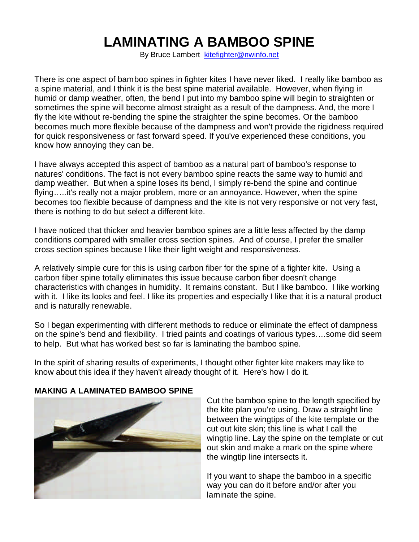## **LAMINATING A BAMBOO SPINE**

By Bruce Lambert kitefighter@nwinfo.net

There is one aspect of bamboo spines in fighter kites I have never liked. I really like bamboo as a spine material, and I think it is the best spine material available. However, when flying in humid or damp weather, often, the bend I put into my bamboo spine will begin to straighten or sometimes the spine will become almost straight as a result of the dampness. And, the more I fly the kite without re-bending the spine the straighter the spine becomes. Or the bamboo becomes much more flexible because of the dampness and won't provide the rigidness required for quick responsiveness or fast forward speed. If you've experienced these conditions, you know how annoying they can be.

I have always accepted this aspect of bamboo as a natural part of bamboo's response to natures' conditions. The fact is not every bamboo spine reacts the same way to humid and damp weather. But when a spine loses its bend, I simply re-bend the spine and continue flying…..it's really not a major problem, more or an annoyance. However, when the spine becomes too flexible because of dampness and the kite is not very responsive or not very fast, there is nothing to do but select a different kite.

I have noticed that thicker and heavier bamboo spines are a little less affected by the damp conditions compared with smaller cross section spines. And of course, I prefer the smaller cross section spines because I like their light weight and responsiveness.

A relatively simple cure for this is using carbon fiber for the spine of a fighter kite. Using a carbon fiber spine totally eliminates this issue because carbon fiber doesn't change characteristics with changes in humidity. It remains constant. But I like bamboo. I like working with it. I like its looks and feel. I like its properties and especially I like that it is a natural product and is naturally renewable.

So I began experimenting with different methods to reduce or eliminate the effect of dampness on the spine's bend and flexibility. I tried paints and coatings of various types….some did seem to help. But what has worked best so far is laminating the bamboo spine.

In the spirit of sharing results of experiments, I thought other fighter kite makers may like to know about this idea if they haven't already thought of it. Here's how I do it.



## **MAKING A LAMINATED BAMBOO SPINE**

Cut the bamboo spine to the length specified by the kite plan you're using. Draw a straight line between the wingtips of the kite template or the cut out kite skin; this line is what I call the wingtip line. Lay the spine on the template or cut out skin and make a mark on the spine where the wingtip line intersects it.

If you want to shape the bamboo in a specific way you can do it before and/or after you laminate the spine.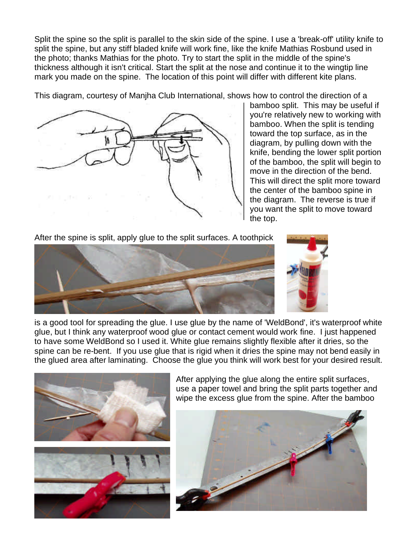Split the spine so the split is parallel to the skin side of the spine. I use a 'break-off' utility knife to split the spine, but any stiff bladed knife will work fine, like the knife Mathias Rosbund used in the photo; thanks Mathias for the photo. Try to start the split in the middle of the spine's thickness although it isn't critical. Start the split at the nose and continue it to the wingtip line mark you made on the spine. The location of this point will differ with different kite plans.

This diagram, courtesy of Manjha Club International, shows how to control the direction of a



bamboo split. This may be useful if you're relatively new to working with bamboo. When the split is tending toward the top surface, as in the diagram, by pulling down with the knife, bending the lower split portion of the bamboo, the split will begin to move in the direction of the bend. This will direct the split more toward the center of the bamboo spine in the diagram. The reverse is true if you want the split to move toward the top.

After the spine is split, apply glue to the split surfaces. A toothpick



is a good tool for spreading the glue. I use glue by the name of 'WeldBond', it's waterproof white glue, but I think any waterproof wood glue or contact cement would work fine. I just happened to have some WeldBond so I used it. White glue remains slightly flexible after it dries, so the spine can be re-bent. If you use glue that is rigid when it dries the spine may not bend easily in the glued area after laminating. Choose the glue you think will work best for your desired result.



After applying the glue along the entire split surfaces, use a paper towel and bring the split parts together and wipe the excess glue from the spine. After the bamboo